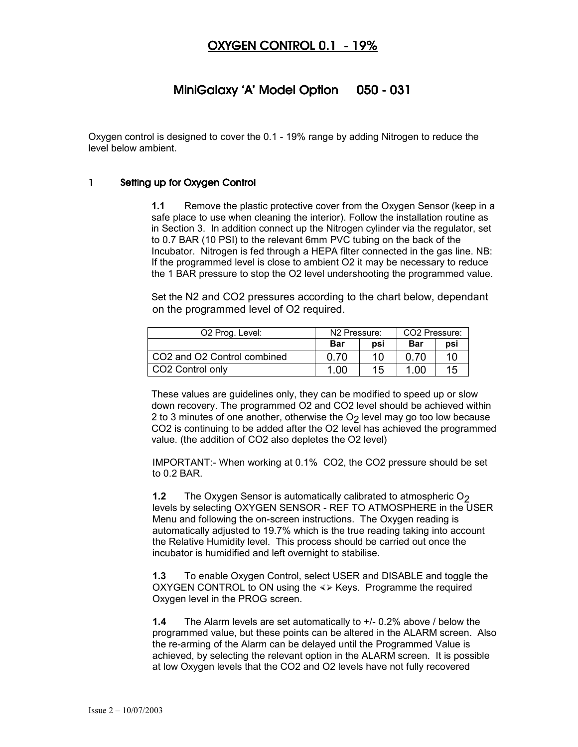# OXYGEN CONTROL 0.1 - 19%

# MiniGalaxy 'A' Model Option 050 - 031

Oxygen control is designed to cover the 0.1 - 19% range by adding Nitrogen to reduce the level below ambient.

#### 1 Setting up for Oxygen Control

**1.1** Remove the plastic protective cover from the Oxygen Sensor (keep in a safe place to use when cleaning the interior). Follow the installation routine as in Section 3. In addition connect up the Nitrogen cylinder via the regulator, set to 0.7 BAR (10 PSI) to the relevant 6mm PVC tubing on the back of the Incubator. Nitrogen is fed through a HEPA filter connected in the gas line. NB: If the programmed level is close to ambient O2 it may be necessary to reduce the 1 BAR pressure to stop the O2 level undershooting the programmed value.

Set the N2 and CO2 pressures according to the chart below, dependant on the programmed level of O2 required.

| O <sub>2</sub> Prog. Level:                         | N <sub>2</sub> Pressure: |     | CO2 Pressure: |     |
|-----------------------------------------------------|--------------------------|-----|---------------|-----|
|                                                     | Bar                      | psi | Bar           | psi |
| CO <sub>2</sub> and O <sub>2</sub> Control combined | 0.70                     | 10  | <u>በ 7በ</u>   | 10  |
| CO <sub>2</sub> Control only                        | 1.00                     | 15  | 1.00          | 15  |

These values are guidelines only, they can be modified to speed up or slow down recovery. The programmed O2 and CO2 level should be achieved within 2 to 3 minutes of one another, otherwise the  $O<sub>2</sub>$  level may go too low because CO2 is continuing to be added after the O2 level has achieved the programmed value. (the addition of CO2 also depletes the O2 level)

IMPORTANT:- When working at 0.1% CO2, the CO2 pressure should be set to 0.2 BAR.

**1.2** The Oxygen Sensor is automatically calibrated to atmospheric O<sub>2</sub> levels by selecting OXYGEN SENSOR - REF TO ATMOSPHERE in the USER Menu and following the on-screen instructions. The Oxygen reading is automatically adjusted to 19.7% which is the true reading taking into account the Relative Humidity level. This process should be carried out once the incubator is humidified and left overnight to stabilise.

**1.3** To enable Oxygen Control, select USER and DISABLE and toggle the OXYGEN CONTROL to ON using the  $\langle \rangle$  Keys. Programme the required Oxygen level in the PROG screen.

**1.4** The Alarm levels are set automatically to +/- 0.2% above / below the programmed value, but these points can be altered in the ALARM screen. Also the re-arming of the Alarm can be delayed until the Programmed Value is achieved, by selecting the relevant option in the ALARM screen. It is possible at low Oxygen levels that the CO2 and O2 levels have not fully recovered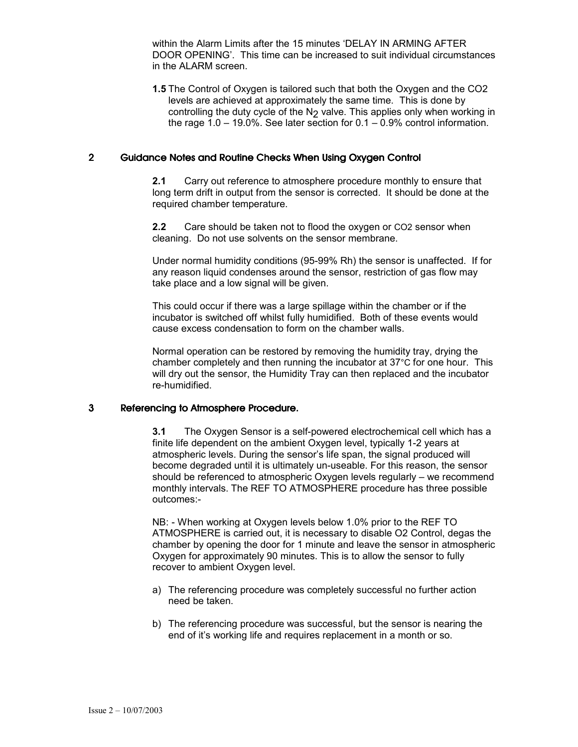within the Alarm Limits after the 15 minutes 'DELAY IN ARMING AFTER DOOR OPENING'. This time can be increased to suit individual circumstances in the ALARM screen.

**1.5** The Control of Oxygen is tailored such that both the Oxygen and the CO2 levels are achieved at approximately the same time. This is done by controlling the duty cycle of the  $N_2$  valve. This applies only when working in the rage 1.0 – 19.0%. See later section for 0.1 – 0.9% control information.

#### 2 Guidance Notes and Routine Checks When Using Oxygen Control

 **2.1** Carry out reference to atmosphere procedure monthly to ensure that long term drift in output from the sensor is corrected. It should be done at the required chamber temperature.

**2.2** Care should be taken not to flood the oxygen or CO2 sensor when cleaning. Do not use solvents on the sensor membrane.

Under normal humidity conditions (95-99% Rh) the sensor is unaffected. If for any reason liquid condenses around the sensor, restriction of gas flow may take place and a low signal will be given.

This could occur if there was a large spillage within the chamber or if the incubator is switched off whilst fully humidified. Both of these events would cause excess condensation to form on the chamber walls.

Normal operation can be restored by removing the humidity tray, drying the chamber completely and then running the incubator at 37°C for one hour. This will dry out the sensor, the Humidity Tray can then replaced and the incubator re-humidified.

#### 3 Referencing to Atmosphere Procedure.

**3.1** The Oxygen Sensor is a self-powered electrochemical cell which has a finite life dependent on the ambient Oxygen level, typically 1-2 years at atmospheric levels. During the sensor's life span, the signal produced will become degraded until it is ultimately un-useable. For this reason, the sensor should be referenced to atmospheric Oxygen levels regularly – we recommend monthly intervals. The REF TO ATMOSPHERE procedure has three possible outcomes:-

NB: - When working at Oxygen levels below 1.0% prior to the REF TO ATMOSPHERE is carried out, it is necessary to disable O2 Control, degas the chamber by opening the door for 1 minute and leave the sensor in atmospheric Oxygen for approximately 90 minutes. This is to allow the sensor to fully recover to ambient Oxygen level.

- a) The referencing procedure was completely successful no further action need be taken.
- b) The referencing procedure was successful, but the sensor is nearing the end of it's working life and requires replacement in a month or so.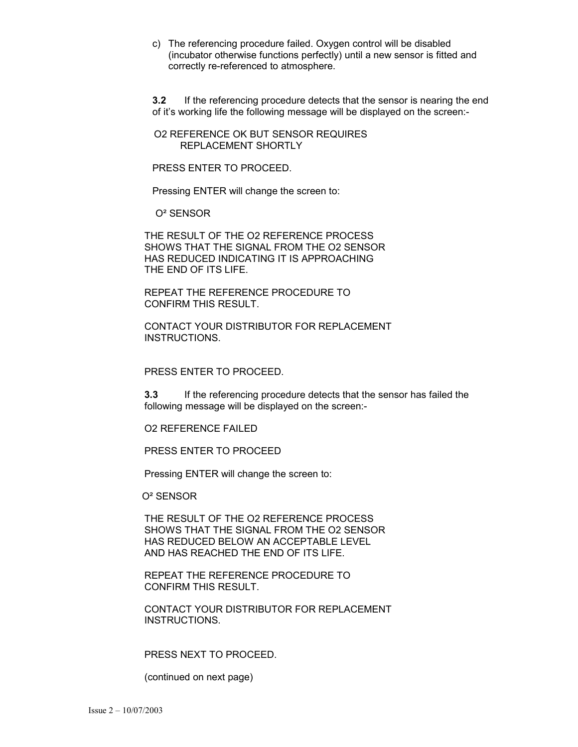c) The referencing procedure failed. Oxygen control will be disabled (incubator otherwise functions perfectly) until a new sensor is fitted and correctly re-referenced to atmosphere.

**3.2** If the referencing procedure detects that the sensor is nearing the end of it's working life the following message will be displayed on the screen:-

 O2 REFERENCE OK BUT SENSOR REQUIRES REPLACEMENT SHORTLY

PRESS ENTER TO PROCEED.

Pressing ENTER will change the screen to:

O² SENSOR

THE RESULT OF THE O2 REFERENCE PROCESS SHOWS THAT THE SIGNAL FROM THE O2 SENSOR HAS REDUCED INDICATING IT IS APPROACHING THE END OF ITS LIFE.

REPEAT THE REFERENCE PROCEDURE TO CONFIRM THIS RESULT.

CONTACT YOUR DISTRIBUTOR FOR REPLACEMENT INSTRUCTIONS.

#### PRESS ENTER TO PROCEED.

**3.3** If the referencing procedure detects that the sensor has failed the following message will be displayed on the screen:-

O2 REFERENCE FAILED

PRESS ENTER TO PROCEED

Pressing ENTER will change the screen to:

O² SENSOR

THE RESULT OF THE O2 REFERENCE PROCESS SHOWS THAT THE SIGNAL FROM THE O2 SENSOR HAS REDUCED BELOW AN ACCEPTABLE LEVEL AND HAS REACHED THE END OF ITS LIFE.

REPEAT THE REFERENCE PROCEDURE TO CONFIRM THIS RESULT.

CONTACT YOUR DISTRIBUTOR FOR REPLACEMENT INSTRUCTIONS.

#### PRESS NEXT TO PROCEED.

(continued on next page)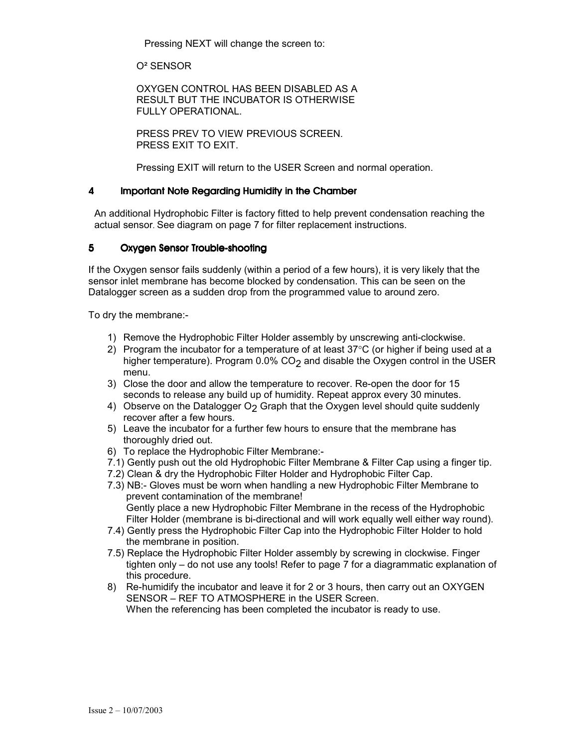Pressing NEXT will change the screen to:

O² SENSOR

OXYGEN CONTROL HAS BEEN DISABLED AS A RESULT BUT THE INCUBATOR IS OTHERWISE FULLY OPERATIONAL.

PRESS PREV TO VIEW PREVIOUS SCREEN. PRESS EXIT TO EXIT.

Pressing EXIT will return to the USER Screen and normal operation.

#### 4 Important Note Regarding Humidity in the Chamber

An additional Hydrophobic Filter is factory fitted to help prevent condensation reaching the actual sensor. See diagram on page 7 for filter replacement instructions.

### 5 Oxygen Sensor Trouble-shooting

If the Oxygen sensor fails suddenly (within a period of a few hours), it is very likely that the sensor inlet membrane has become blocked by condensation. This can be seen on the Datalogger screen as a sudden drop from the programmed value to around zero.

To dry the membrane:-

- 1) Remove the Hydrophobic Filter Holder assembly by unscrewing anti-clockwise.
- 2) Program the incubator for a temperature of at least  $37^{\circ}$ C (or higher if being used at a higher temperature). Program  $0.0\%$  CO<sub>2</sub> and disable the Oxygen control in the USER menu.
- 3) Close the door and allow the temperature to recover. Re-open the door for 15 seconds to release any build up of humidity. Repeat approx every 30 minutes.
- 4) Observe on the Datalogger  $O<sub>2</sub>$  Graph that the Oxygen level should quite suddenly recover after a few hours.
- 5) Leave the incubator for a further few hours to ensure that the membrane has thoroughly dried out.
- 6) To replace the Hydrophobic Filter Membrane:-
- 7.1) Gently push out the old Hydrophobic Filter Membrane & Filter Cap using a finger tip.
- 7.2) Clean & dry the Hydrophobic Filter Holder and Hydrophobic Filter Cap.
- 7.3) NB:- Gloves must be worn when handling a new Hydrophobic Filter Membrane to prevent contamination of the membrane! Gently place a new Hydrophobic Filter Membrane in the recess of the Hydrophobic Filter Holder (membrane is bi-directional and will work equally well either way round).
- 7.4) Gently press the Hydrophobic Filter Cap into the Hydrophobic Filter Holder to hold the membrane in position.
- 7.5) Replace the Hydrophobic Filter Holder assembly by screwing in clockwise. Finger tighten only – do not use any tools! Refer to page 7 for a diagrammatic explanation of this procedure.
- 8) Re-humidify the incubator and leave it for 2 or 3 hours, then carry out an OXYGEN SENSOR – REF TO ATMOSPHERE in the USER Screen. When the referencing has been completed the incubator is ready to use.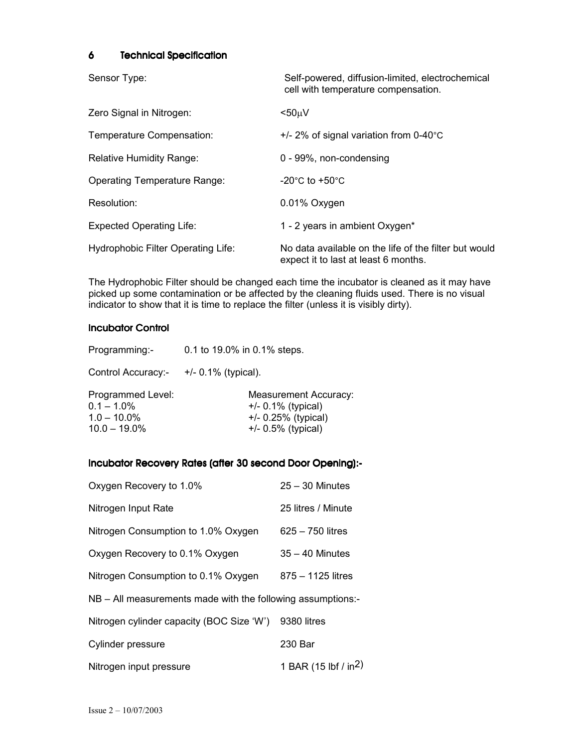### 6 Technical Specification

Sensor Type: Self-powered, diffusion-limited, electrochemical cell with temperature compensation.

| Zero Signal in Nitrogen:                  | $< 50 \mu V$                                                                                  |
|-------------------------------------------|-----------------------------------------------------------------------------------------------|
| Temperature Compensation:                 | $+/- 2\%$ of signal variation from 0-40°C                                                     |
| <b>Relative Humidity Range:</b>           | 0 - 99%, non-condensing                                                                       |
| <b>Operating Temperature Range:</b>       | $-20^{\circ}$ C to $+50^{\circ}$ C                                                            |
| Resolution:                               | 0.01% Oxygen                                                                                  |
| <b>Expected Operating Life:</b>           | 1 - 2 years in ambient Oxygen*                                                                |
| <b>Hydrophobic Filter Operating Life:</b> | No data available on the life of the filter but would<br>expect it to last at least 6 months. |

The Hydrophobic Filter should be changed each time the incubator is cleaned as it may have picked up some contamination or be affected by the cleaning fluids used. There is no visual indicator to show that it is time to replace the filter (unless it is visibly dirty).

### **Incubator Control**

| Programming:-                                                           | 0.1 to 19.0% in 0.1% steps.                                                                              |  |  |
|-------------------------------------------------------------------------|----------------------------------------------------------------------------------------------------------|--|--|
| Control Accuracy:-                                                      | $+/- 0.1\%$ (typical).                                                                                   |  |  |
| Programmed Level:<br>$0.1 - 1.0\%$<br>$1.0 - 10.0\%$<br>$10.0 - 19.0\%$ | <b>Measurement Accuracy:</b><br>$+/- 0.1\%$ (typical)<br>$+/- 0.25\%$ (typical)<br>$+/- 0.5\%$ (typical) |  |  |

### Incubator Recovery Rates (after 30 second Door Opening):-

| Oxygen Recovery to 1.0%                                       | $25 - 30$ Minutes                |  |  |  |  |
|---------------------------------------------------------------|----------------------------------|--|--|--|--|
| Nitrogen Input Rate                                           | 25 litres / Minute               |  |  |  |  |
| Nitrogen Consumption to 1.0% Oxygen                           | $625 - 750$ litres               |  |  |  |  |
| Oxygen Recovery to 0.1% Oxygen                                | $35 - 40$ Minutes                |  |  |  |  |
| Nitrogen Consumption to 0.1% Oxygen                           | 875 - 1125 litres                |  |  |  |  |
| $NB - All measurements made with the following assumptions:-$ |                                  |  |  |  |  |
| Nitrogen cylinder capacity (BOC Size 'W')                     | 9380 litres                      |  |  |  |  |
| Cylinder pressure                                             | 230 Bar                          |  |  |  |  |
| Nitrogen input pressure                                       | 1 BAR (15 lbf / in <sup>2)</sup> |  |  |  |  |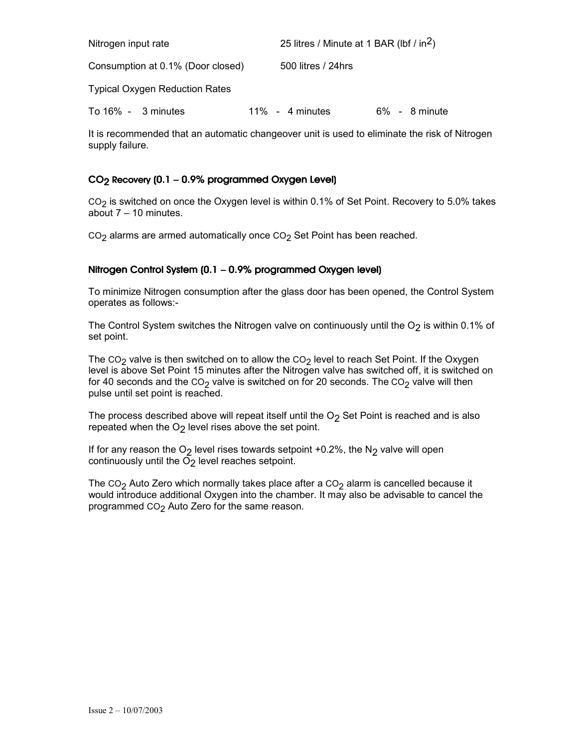| Nitrogen input rate                   |  | 25 litres / Minute at 1 BAR (lbf / in <sup>2</sup> ) |                    |  |  |                  |
|---------------------------------------|--|------------------------------------------------------|--------------------|--|--|------------------|
| Consumption at 0.1% (Door closed)     |  |                                                      | 500 litres / 24hrs |  |  |                  |
| <b>Typical Oxygen Reduction Rates</b> |  |                                                      |                    |  |  |                  |
| To $16\% - 3$ minutes                 |  |                                                      | $11\% - 4$ minutes |  |  | $6\% - 8$ minute |

It is recommended that an automatic changeover unit is used to eliminate the risk of Nitrogen supply failure.

## $CO<sub>2</sub>$  Recovery (0.1 – 0.9% programmed Oxygen Level)

CO2 is switched on once the Oxygen level is within 0.1% of Set Point. Recovery to 5.0% takes about 7 – 10 minutes.

 $CO<sub>2</sub>$  alarms are armed automatically once  $CO<sub>2</sub>$  Set Point has been reached.

### Nitrogen Control System (0.1 – 0.9% programmed Oxygen level)

To minimize Nitrogen consumption after the glass door has been opened, the Control System operates as follows:-

The Control System switches the Nitrogen valve on continuously until the  $O<sub>2</sub>$  is within 0.1% of set point.

The CO<sub>2</sub> valve is then switched on to allow the CO<sub>2</sub> level to reach Set Point. If the Oxygen level is above Set Point 15 minutes after the Nitrogen valve has switched off, it is switched on for 40 seconds and the CO<sub>2</sub> valve is switched on for 20 seconds. The CO<sub>2</sub> valve will then pulse until set point is reached.

The process described above will repeat itself until the  $O<sub>2</sub>$  Set Point is reached and is also repeated when the O<sub>2</sub> level rises above the set point.

If for any reason the O<sub>2</sub> level rises towards setpoint +0.2%, the N<sub>2</sub> valve will open continuously until the  $\overline{O}_2$  level reaches setpoint.

The CO<sub>2</sub> Auto Zero which normally takes place after a CO<sub>2</sub> alarm is cancelled because it would introduce additional Oxygen into the chamber. It may also be advisable to cancel the programmed CO<sub>2</sub> Auto Zero for the same reason.